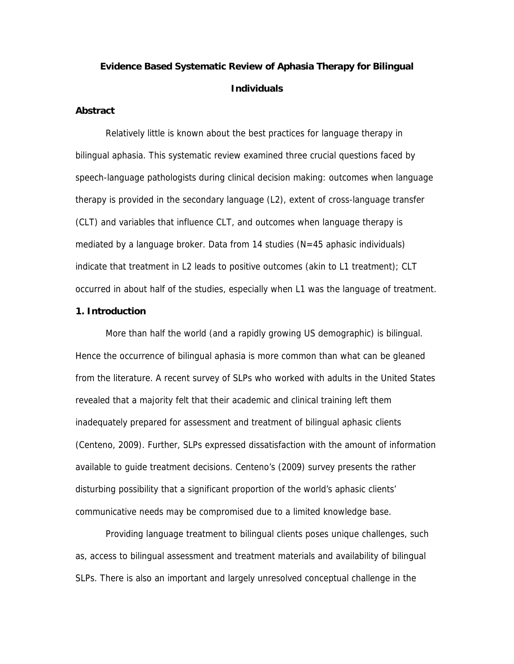# **Evidence Based Systematic Review of Aphasia Therapy for Bilingual Individuals**

#### **Abstract**

Relatively little is known about the best practices for language therapy in bilingual aphasia. This systematic review examined three crucial questions faced by speech-language pathologists during clinical decision making: outcomes when language therapy is provided in the secondary language (L2), extent of cross-language transfer (CLT) and variables that influence CLT, and outcomes when language therapy is mediated by a language broker. Data from 14 studies  $(N=45$  aphasic individuals) indicate that treatment in L2 leads to positive outcomes (akin to L1 treatment); CLT occurred in about half of the studies, especially when L1 was the language of treatment.

## **1. Introduction**

More than half the world (and a rapidly growing US demographic) is bilingual. Hence the occurrence of bilingual aphasia is more common than what can be gleaned from the literature. A recent survey of SLPs who worked with adults in the United States revealed that a majority felt that their academic and clinical training left them inadequately prepared for assessment and treatment of bilingual aphasic clients (Centeno, 2009). Further, SLPs expressed dissatisfaction with the amount of information available to guide treatment decisions. Centeno's (2009) survey presents the rather disturbing possibility that a significant proportion of the world's aphasic clients' communicative needs may be compromised due to a limited knowledge base.

Providing language treatment to bilingual clients poses unique challenges, such as, access to bilingual assessment and treatment materials and availability of bilingual SLPs. There is also an important and largely unresolved conceptual challenge in the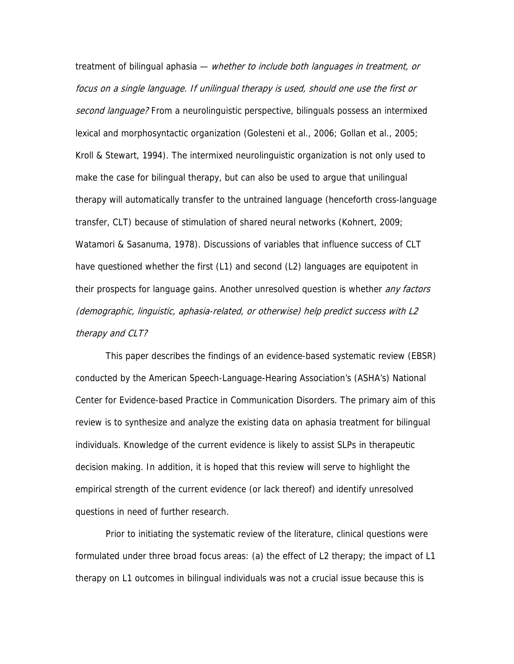treatment of bilingual aphasia — whether to include both languages in treatment, or focus on a single language. If unilingual therapy is used, should one use the first or second language? From a neurolinguistic perspective, bilinguals possess an intermixed lexical and morphosyntactic organization (Golesteni et al., 2006; Gollan et al., 2005; Kroll & Stewart, 1994). The intermixed neurolinguistic organization is not only used to make the case for bilingual therapy, but can also be used to argue that unilingual therapy will automatically transfer to the untrained language (henceforth cross-language transfer, CLT) because of stimulation of shared neural networks (Kohnert, 2009; Watamori & Sasanuma, 1978). Discussions of variables that influence success of CLT have questioned whether the first (L1) and second (L2) languages are equipotent in their prospects for language gains. Another unresolved question is whether *any factors* (demographic, linguistic, aphasia-related, or otherwise) help predict success with L2 therapy and CLT?

This paper describes the findings of an evidence-based systematic review (EBSR) conducted by the American Speech-Language-Hearing Association's (ASHA's) National Center for Evidence-based Practice in Communication Disorders. The primary aim of this review is to synthesize and analyze the existing data on aphasia treatment for bilingual individuals. Knowledge of the current evidence is likely to assist SLPs in therapeutic decision making. In addition, it is hoped that this review will serve to highlight the empirical strength of the current evidence (or lack thereof) and identify unresolved questions in need of further research.

Prior to initiating the systematic review of the literature, clinical questions were formulated under three broad focus areas: (a) the effect of L2 therapy; the impact of L1 therapy on L1 outcomes in bilingual individuals was not a crucial issue because this is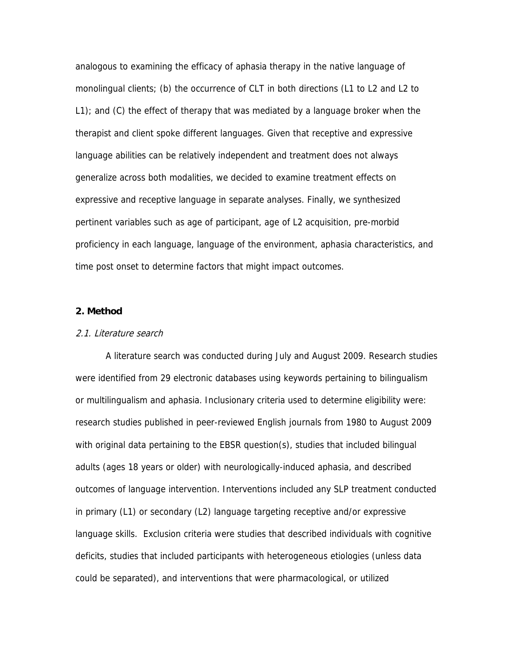analogous to examining the efficacy of aphasia therapy in the native language of monolingual clients; (b) the occurrence of CLT in both directions (L1 to L2 and L2 to L1); and (C) the effect of therapy that was mediated by a language broker when the therapist and client spoke different languages. Given that receptive and expressive language abilities can be relatively independent and treatment does not always generalize across both modalities, we decided to examine treatment effects on expressive and receptive language in separate analyses. Finally, we synthesized pertinent variables such as age of participant, age of L2 acquisition, pre-morbid proficiency in each language, language of the environment, aphasia characteristics, and time post onset to determine factors that might impact outcomes.

## **2. Method**

#### 2.1. Literature search

A literature search was conducted during July and August 2009. Research studies were identified from 29 electronic databases using keywords pertaining to bilingualism or multilingualism and aphasia. Inclusionary criteria used to determine eligibility were: research studies published in peer-reviewed English journals from 1980 to August 2009 with original data pertaining to the EBSR question(s), studies that included bilingual adults (ages 18 years or older) with neurologically-induced aphasia, and described outcomes of language intervention. Interventions included any SLP treatment conducted in primary (L1) or secondary (L2) language targeting receptive and/or expressive language skills. Exclusion criteria were studies that described individuals with cognitive deficits, studies that included participants with heterogeneous etiologies (unless data could be separated), and interventions that were pharmacological, or utilized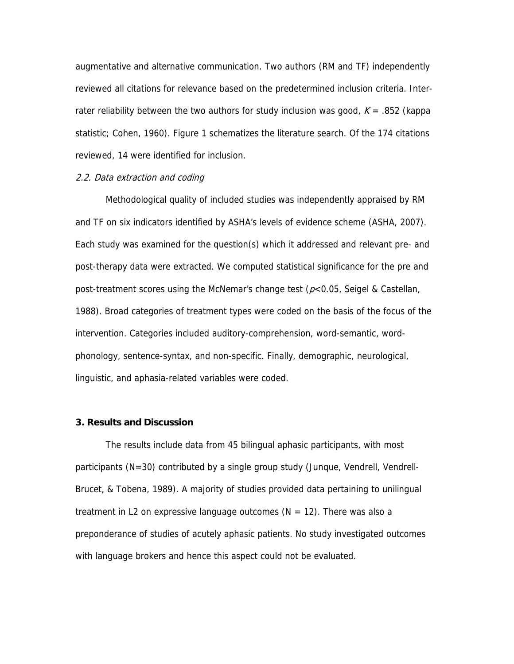augmentative and alternative communication. Two authors (RM and TF) independently reviewed all citations for relevance based on the predetermined inclusion criteria. Interrater reliability between the two authors for study inclusion was good,  $K = .852$  (kappa statistic; Cohen, 1960). Figure 1 schematizes the literature search. Of the 174 citations reviewed, 14 were identified for inclusion.

## 2.2. Data extraction and coding

Methodological quality of included studies was independently appraised by RM and TF on six indicators identified by ASHA's levels of evidence scheme (ASHA, 2007). Each study was examined for the question(s) which it addressed and relevant pre- and post-therapy data were extracted. We computed statistical significance for the pre and post-treatment scores using the McNemar's change test ( $p<0.05$ , Seigel & Castellan, 1988). Broad categories of treatment types were coded on the basis of the focus of the intervention. Categories included auditory-comprehension, word-semantic, wordphonology, sentence-syntax, and non-specific. Finally, demographic, neurological, linguistic, and aphasia-related variables were coded.

#### **3. Results and Discussion**

The results include data from 45 bilingual aphasic participants, with most participants (N=30) contributed by a single group study (Junque, Vendrell, Vendrell-Brucet, & Tobena, 1989). A majority of studies provided data pertaining to unilingual treatment in L2 on expressive language outcomes ( $N = 12$ ). There was also a preponderance of studies of acutely aphasic patients. No study investigated outcomes with language brokers and hence this aspect could not be evaluated.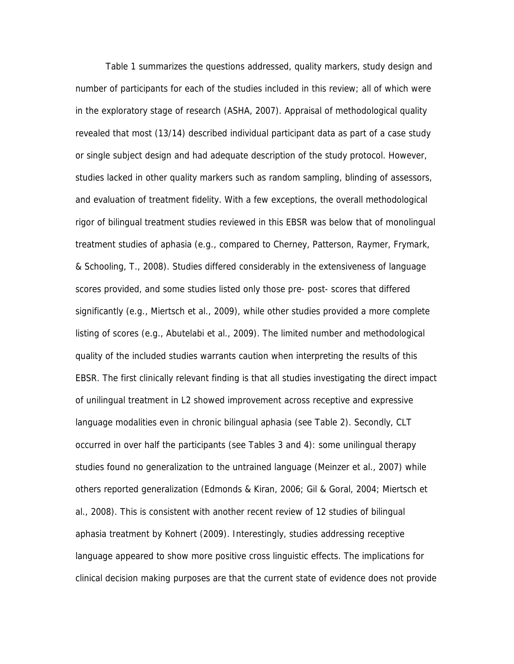Table 1 summarizes the questions addressed, quality markers, study design and number of participants for each of the studies included in this review; all of which were in the exploratory stage of research (ASHA, 2007). Appraisal of methodological quality revealed that most (13/14) described individual participant data as part of a case study or single subject design and had adequate description of the study protocol. However, studies lacked in other quality markers such as random sampling, blinding of assessors, and evaluation of treatment fidelity. With a few exceptions, the overall methodological rigor of bilingual treatment studies reviewed in this EBSR was below that of monolingual treatment studies of aphasia (e.g., compared to Cherney, Patterson, Raymer, Frymark, & Schooling, T., 2008). Studies differed considerably in the extensiveness of language scores provided, and some studies listed only those pre- post- scores that differed significantly (e.g., Miertsch et al., 2009), while other studies provided a more complete listing of scores (e.g., Abutelabi et al., 2009). The limited number and methodological quality of the included studies warrants caution when interpreting the results of this EBSR. The first clinically relevant finding is that all studies investigating the direct impact of unilingual treatment in L2 showed improvement across receptive and expressive language modalities even in chronic bilingual aphasia (see Table 2). Secondly, CLT occurred in over half the participants (see Tables 3 and 4): some unilingual therapy studies found no generalization to the untrained language (Meinzer et al., 2007) while others reported generalization (Edmonds & Kiran, 2006; Gil & Goral, 2004; Miertsch et al., 2008). This is consistent with another recent review of 12 studies of bilingual aphasia treatment by Kohnert (2009). Interestingly, studies addressing receptive language appeared to show more positive cross linguistic effects. The implications for clinical decision making purposes are that the current state of evidence does not provide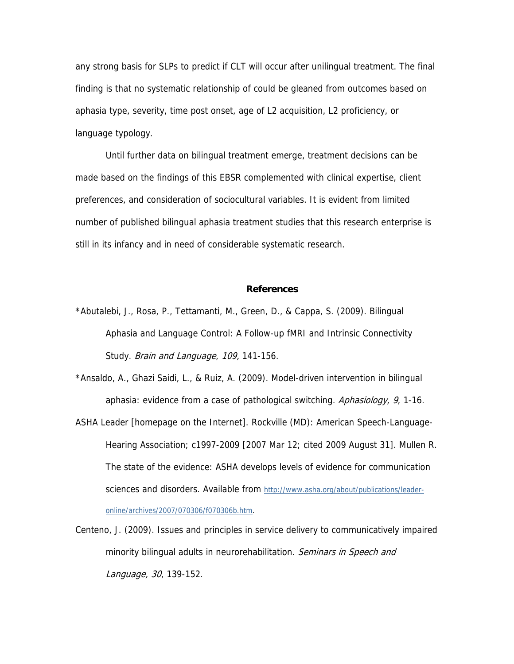any strong basis for SLPs to predict if CLT will occur after unilingual treatment. The final finding is that no systematic relationship of could be gleaned from outcomes based on aphasia type, severity, time post onset, age of L2 acquisition, L2 proficiency, or language typology.

Until further data on bilingual treatment emerge, treatment decisions can be made based on the findings of this EBSR complemented with clinical expertise, client preferences, and consideration of sociocultural variables. It is evident from limited number of published bilingual aphasia treatment studies that this research enterprise is still in its infancy and in need of considerable systematic research.

#### **References**

\*Abutalebi, J., Rosa, P., Tettamanti, M., Green, D., & Cappa, S. (2009). Bilingual Aphasia and Language Control: A Follow-up fMRI and Intrinsic Connectivity Study. Brain and Language, 109, 141-156.

\*Ansaldo, A., Ghazi Saidi, L., & Ruiz, A. (2009). Model-driven intervention in bilingual aphasia: evidence from a case of pathological switching. Aphasiology, 9, 1-16.

- ASHA Leader [homepage on the Internet]. Rockville (MD): American Speech-Language-Hearing Association; c1997-2009 [2007 Mar 12; cited 2009 August 31]. Mullen R. The state of the evidence: ASHA develops levels of evidence for communication sciences and disorders. Available from http://www.asha.org/about/publications/leaderonline/archives/2007/070306/f070306b.htm.
- Centeno, J. (2009). Issues and principles in service delivery to communicatively impaired minority bilingual adults in neurorehabilitation. Seminars in Speech and Language, 30, 139-152.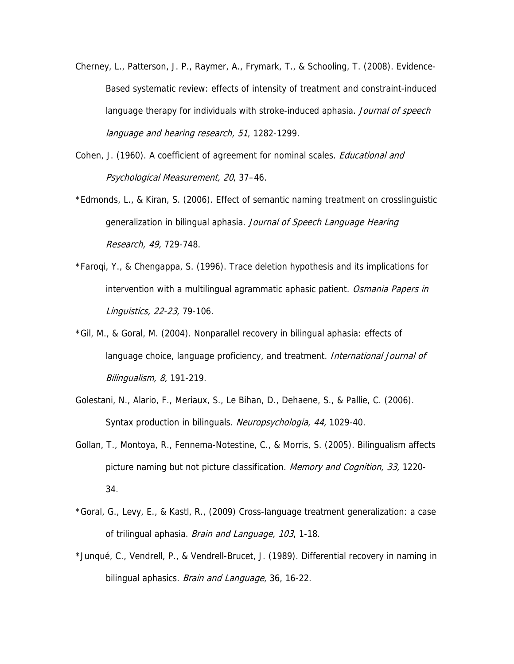- Cherney, L., Patterson, J. P., Raymer, A., Frymark, T., & Schooling, T. (2008). Evidence-Based systematic review: effects of intensity of treatment and constraint-induced language therapy for individuals with stroke-induced aphasia. Journal of speech language and hearing research, 51, 1282-1299.
- Cohen, J. (1960). A coefficient of agreement for nominal scales. *Educational and* Psychological Measurement, 20, 37–46.
- \*Edmonds, L., & Kiran, S. (2006). Effect of semantic naming treatment on crosslinguistic generalization in bilingual aphasia. Journal of Speech Language Hearing Research, 49, 729-748.
- \*Faroqi, Y., & Chengappa, S. (1996). Trace deletion hypothesis and its implications for intervention with a multilingual agrammatic aphasic patient. Osmania Papers in Linguistics, 22-23, 79-106.
- \*Gil, M., & Goral, M. (2004). Nonparallel recovery in bilingual aphasia: effects of language choice, language proficiency, and treatment. *International Journal of* Bilingualism, 8, 191-219.
- Golestani, N., Alario, F., Meriaux, S., Le Bihan, D., Dehaene, S., & Pallie, C. (2006). Syntax production in bilinguals. Neuropsychologia, 44, 1029-40.
- Gollan, T., Montoya, R., Fennema-Notestine, C., & Morris, S. (2005). Bilingualism affects picture naming but not picture classification. *Memory and Cognition, 33,* 1220-34.
- \*Goral, G., Levy, E., & Kastl, R., (2009) Cross-language treatment generalization: a case of trilingual aphasia. Brain and Language, 103, 1-18.
- \*Junqué, C., Vendrell, P., & Vendrell-Brucet, J. (1989). Differential recovery in naming in bilingual aphasics. *Brain and Language*, 36, 16-22.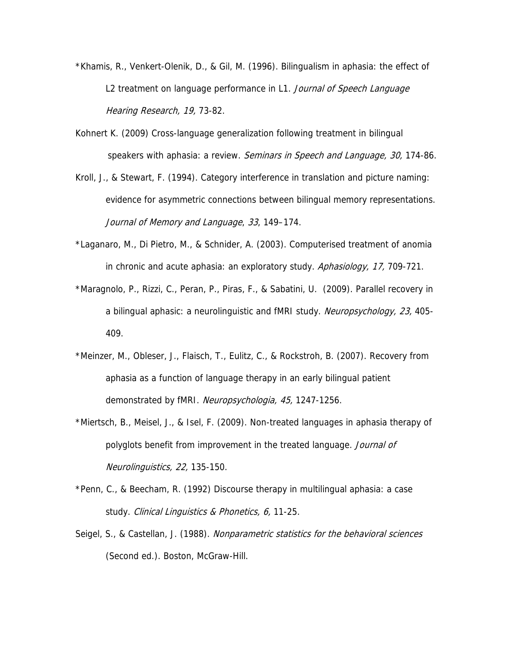- \*Khamis, R., Venkert-Olenik, D., & Gil, M. (1996). Bilingualism in aphasia: the effect of L2 treatment on language performance in L1. Journal of Speech Language Hearing Research, 19, 73-82.
- Kohnert K. (2009) Cross-language generalization following treatment in bilingual speakers with aphasia: a review. Seminars in Speech and Language, 30, 174-86.
- Kroll, J., & Stewart, F. (1994). Category interference in translation and picture naming: evidence for asymmetric connections between bilingual memory representations. Journal of Memory and Language, 33, 149–174.
- \*Laganaro, M., Di Pietro, M., & Schnider, A. (2003). Computerised treatment of anomia in chronic and acute aphasia: an exploratory study. Aphasiology, 17, 709-721.
- \*Maragnolo, P., Rizzi, C., Peran, P., Piras, F., & Sabatini, U. (2009). Parallel recovery in a bilingual aphasic: a neurolinguistic and fMRI study. Neuropsychology, 23, 405-409.
- \*Meinzer, M., Obleser, J., Flaisch, T., Eulitz, C., & Rockstroh, B. (2007). Recovery from aphasia as a function of language therapy in an early bilingual patient demonstrated by fMRI. Neuropsychologia, 45, 1247-1256.
- \*Miertsch, B., Meisel, J., & Isel, F. (2009). Non-treated languages in aphasia therapy of polyglots benefit from improvement in the treated language. Journal of Neurolinguistics, 22, 135-150.
- \*Penn, C., & Beecham, R. (1992) Discourse therapy in multilingual aphasia: a case study. Clinical Linguistics & Phonetics, 6, 11-25.
- Seigel, S., & Castellan, J. (1988). Nonparametric statistics for the behavioral sciences (Second ed.). Boston, McGraw-Hill.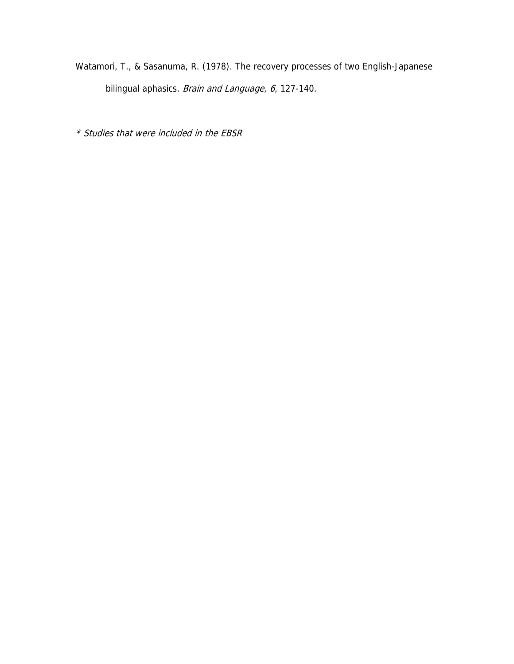Watamori, T., & Sasanuma, R. (1978). The recovery processes of two English-Japanese bilingual aphasics. Brain and Language, 6, 127-140.

\* Studies that were included in the EBSR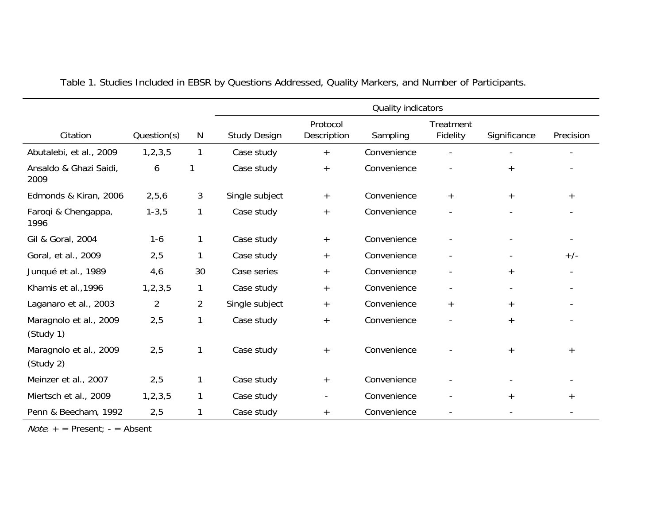|                                     |                |                | Quality indicators  |                         |             |                              |                |           |
|-------------------------------------|----------------|----------------|---------------------|-------------------------|-------------|------------------------------|----------------|-----------|
| Citation                            | Question(s)    | N              | <b>Study Design</b> | Protocol<br>Description | Sampling    | <b>Treatment</b><br>Fidelity | Significance   | Precision |
| Abutalebi, et al., 2009             | 1, 2, 3, 5     | 1              | Case study          | $+$                     | Convenience |                              |                |           |
| Ansaldo & Ghazi Saidi,<br>2009      | 6              | 1              | Case study          | $+$                     | Convenience |                              | $^{+}$         |           |
| Edmonds & Kiran, 2006               | 2,5,6          | $\mathbf{3}$   | Single subject      | $+$                     | Convenience | $+$                          | $^{+}$         | $+$       |
| Faroqi & Chengappa,<br>1996         | $1 - 3, 5$     | 1              | Case study          | $+$                     | Convenience |                              |                |           |
| Gil & Goral, 2004                   | $1 - 6$        | $\mathbf{1}$   | Case study          | $+$                     | Convenience |                              |                |           |
| Goral, et al., 2009                 | 2,5            | 1              | Case study          | $+$                     | Convenience |                              | $\blacksquare$ | $+/-$     |
| Junqué et al., 1989                 | 4,6            | 30             | Case series         | $+$                     | Convenience |                              | $^{+}$         |           |
| Khamis et al., 1996                 | 1, 2, 3, 5     | 1              | Case study          | $^{+}$                  | Convenience |                              |                |           |
| Laganaro et al., 2003               | $\overline{2}$ | $\overline{a}$ | Single subject      | $+$                     | Convenience | $\ddot{}$                    | $^{+}$         |           |
| Maragnolo et al., 2009<br>(Study 1) | 2,5            | 1              | Case study          | $^{+}$                  | Convenience |                              | $^{+}$         |           |
| Maragnolo et al., 2009<br>(Study 2) | 2,5            | 1              | Case study          | $+$                     | Convenience |                              | $+$            | $^{+}$    |
| Meinzer et al., 2007                | 2,5            | 1              | Case study          | $+$                     | Convenience |                              |                |           |
| Miertsch et al., 2009               | 1, 2, 3, 5     | $\mathbf{1}$   | Case study          | $\blacksquare$          | Convenience |                              | $+$            | $+$       |
| Penn & Beecham, 1992                | 2,5            | 1              | Case study          | $^{+}$                  | Convenience |                              |                |           |

Table 1. Studies Included in EBSR by Questions Addressed, Quality Markers, and Number of Participants.

 $Note. + = Present; - = Absent$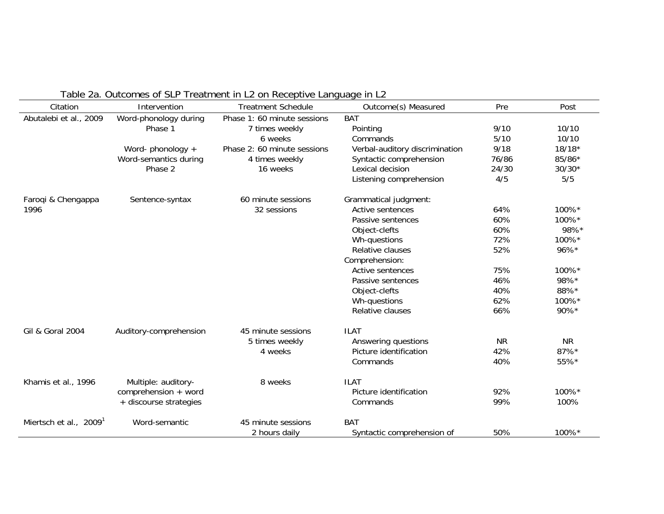| Citation                    | Intervention           | <b>Treatment Schedule</b>   | Outcome(s) Measured            | Pre       | Post      |
|-----------------------------|------------------------|-----------------------------|--------------------------------|-----------|-----------|
| Abutalebi et al., 2009      | Word-phonology during  | Phase 1: 60 minute sessions | <b>BAT</b>                     |           |           |
|                             | Phase 1                | 7 times weekly              | Pointing                       | 9/10      | 10/10     |
|                             |                        | 6 weeks                     | Commands                       | $5/10$    | 10/10     |
|                             | Word-phonology +       | Phase 2: 60 minute sessions | Verbal-auditory discrimination | 9/18      | $18/18*$  |
|                             | Word-semantics during  | 4 times weekly              | Syntactic comprehension        | 76/86     | 85/86*    |
|                             | Phase 2                | 16 weeks                    | Lexical decision               | 24/30     | $30/30*$  |
|                             |                        |                             | Listening comprehension        | 4/5       | 5/5       |
| Faroqi & Chengappa          | Sentence-syntax        | 60 minute sessions          | Grammatical judgment:          |           |           |
| 1996                        |                        | 32 sessions                 | Active sentences               | 64%       | 100%*     |
|                             |                        |                             | Passive sentences              | 60%       | 100%*     |
|                             |                        |                             | Object-clefts                  | 60%       | 98%*      |
|                             |                        |                             | Wh-questions                   | 72%       | 100%*     |
|                             |                        |                             | Relative clauses               | 52%       | 96%*      |
|                             |                        |                             | Comprehension:                 |           |           |
|                             |                        |                             | Active sentences               | 75%       | 100%*     |
|                             |                        |                             | Passive sentences              | 46%       | 98%*      |
|                             |                        |                             | Object-clefts                  | 40%       | 88%*      |
|                             |                        |                             | Wh-questions                   | 62%       | 100%*     |
|                             |                        |                             | Relative clauses               | 66%       | 90%*      |
| <b>Gil &amp; Goral 2004</b> | Auditory-comprehension | 45 minute sessions          | <b>ILAT</b>                    |           |           |
|                             |                        | 5 times weekly              | Answering questions            | <b>NR</b> | <b>NR</b> |
|                             |                        | 4 weeks                     | Picture identification         | 42%       | 87%*      |
|                             |                        |                             | Commands                       | 40%       | 55%*      |
| Khamis et al., 1996         | Multiple: auditory-    | 8 weeks                     | <b>ILAT</b>                    |           |           |
|                             | comprehension + word   |                             | Picture identification         | 92%       | 100%*     |
|                             | + discourse strategies |                             | Commands                       | 99%       | 100%      |
| Miertsch et al., 2009       | Word-semantic          | 45 minute sessions          | <b>BAT</b>                     |           |           |
|                             |                        | 2 hours daily               | Syntactic comprehension of     | 50%       | 100%*     |

Table 2a. Outcomes of SLP Treatment in L2 on Receptive Language in L2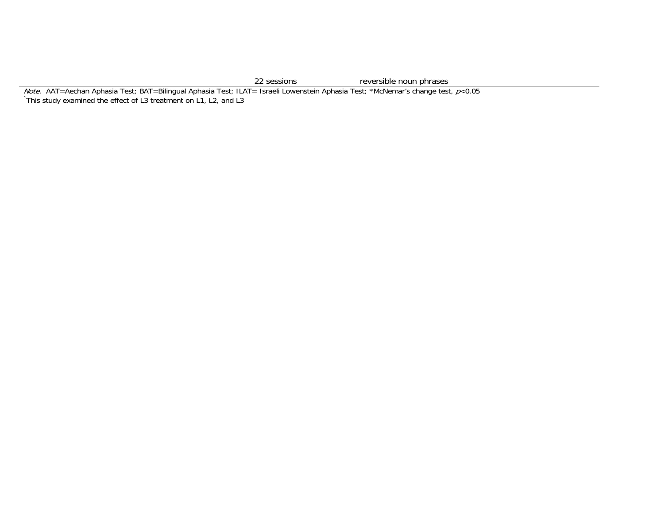22 sessions reversible noun phrases

*Note.* AAT=Aechan Aphasia Test; BAT=Bilingual Aphasia Test; ILAT= Israeli Lowenstein Aphasia Test; \*McNemar's change test, *p*<0.05 <sup>1</sup>This study examined the effect of L3 treatment on L1, L2, and L3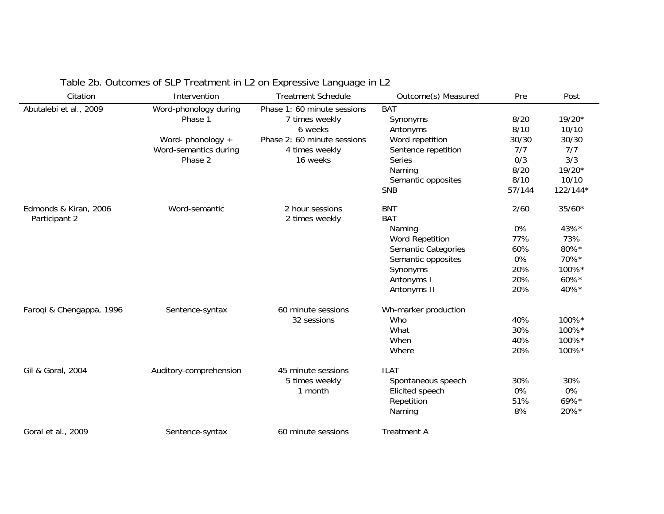|                          |                        | Table 2b. Outcomes of SLP Treatment in L2 on Expressive Language in L2 |                        |        |            |
|--------------------------|------------------------|------------------------------------------------------------------------|------------------------|--------|------------|
| Citation                 | Intervention           | <b>Treatment Schedule</b>                                              | Outcome(s) Measured    | Pre    | Post       |
| Abutalebi et al., 2009   | Word-phonology during  | Phase 1: 60 minute sessions                                            | <b>BAT</b>             |        |            |
|                          | Phase 1                | 7 times weekly                                                         | Synonyms               | 8/20   | $19/20*$   |
|                          |                        | 6 weeks                                                                | Antonyms               | 8/10   | 10/10      |
|                          | Word-phonology +       | Phase 2: 60 minute sessions                                            | Word repetition        | 30/30  | 30/30      |
|                          | Word-semantics during  | 4 times weekly                                                         | Sentence repetition    | 7/7    | 7/7        |
|                          | Phase 2                | 16 weeks                                                               | <b>Series</b>          | 0/3    | 3/3        |
|                          |                        |                                                                        | Naming                 | 8/20   | $19/20*$   |
|                          |                        |                                                                        | Semantic opposites     | 8/10   | 10/10      |
|                          |                        |                                                                        | <b>SNB</b>             | 57/144 | $122/144*$ |
| Edmonds & Kiran, 2006    | Word-semantic          | 2 hour sessions                                                        | <b>BNT</b>             | 2/60   | $35/60*$   |
| Participant 2            |                        | 2 times weekly                                                         | <b>BAT</b>             |        |            |
|                          |                        |                                                                        | Naming                 | 0%     | 43%*       |
|                          |                        |                                                                        | <b>Word Repetition</b> | 77%    | 73%        |
|                          |                        |                                                                        | Semantic Categories    | 60%    | 80%*       |
|                          |                        |                                                                        | Semantic opposites     | 0%     | 70%*       |
|                          |                        |                                                                        | Synonyms               | 20%    | 100%*      |
|                          |                        |                                                                        | Antonyms I             | 20%    | 60%*       |
|                          |                        |                                                                        | Antonyms II            | 20%    | 40%*       |
| Faroqi & Chengappa, 1996 | Sentence-syntax        | 60 minute sessions                                                     | Wh-marker production   |        |            |
|                          |                        | 32 sessions                                                            | Who                    | 40%    | 100%*      |
|                          |                        |                                                                        | What                   | 30%    | 100%*      |
|                          |                        |                                                                        | When                   | 40%    | 100%*      |
|                          |                        |                                                                        | Where                  | 20%    | 100%*      |
| Gil & Goral, 2004        |                        | 45 minute sessions                                                     | <b>ILAT</b>            |        |            |
|                          | Auditory-comprehension | 5 times weekly                                                         | Spontaneous speech     | 30%    | 30%        |
|                          |                        | 1 month                                                                | Elicited speech        | 0%     | 0%         |
|                          |                        |                                                                        | Repetition             | 51%    | 69%*       |
|                          |                        |                                                                        |                        | 8%     | 20%*       |
|                          |                        |                                                                        | Naming                 |        |            |
| Goral et al., 2009       | Sentence-syntax        | 60 minute sessions                                                     | <b>Treatment A</b>     |        |            |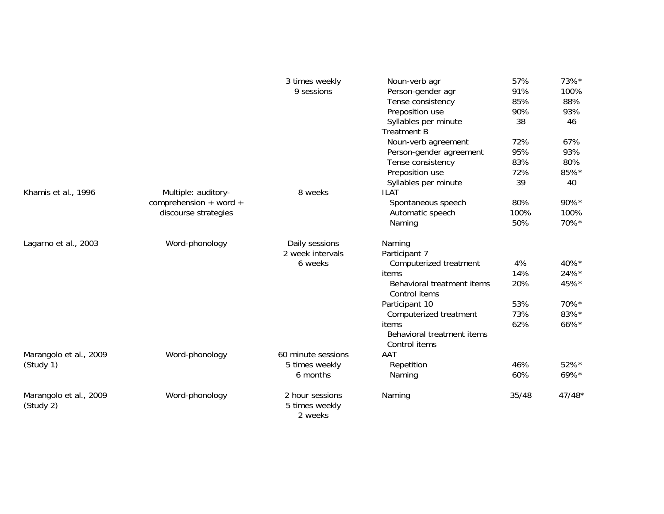|                                     |                        | 3 times weekly                               | Noun-verb agr                               | 57%   | 73%*     |
|-------------------------------------|------------------------|----------------------------------------------|---------------------------------------------|-------|----------|
|                                     |                        | 9 sessions                                   | Person-gender agr                           | 91%   | 100%     |
|                                     |                        |                                              | Tense consistency                           | 85%   | 88%      |
|                                     |                        |                                              | Preposition use                             | 90%   | 93%      |
|                                     |                        |                                              | Syllables per minute                        | 38    | 46       |
|                                     |                        |                                              | <b>Treatment B</b>                          |       |          |
|                                     |                        |                                              | Noun-verb agreement                         | 72%   | 67%      |
|                                     |                        |                                              | Person-gender agreement                     | 95%   | 93%      |
|                                     |                        |                                              | Tense consistency                           | 83%   | 80%      |
|                                     |                        |                                              | Preposition use                             | 72%   | 85%*     |
|                                     |                        |                                              | Syllables per minute                        | 39    | 40       |
| Khamis et al., 1996                 | Multiple: auditory-    | 8 weeks                                      | <b>ILAT</b>                                 |       |          |
|                                     | comprehension + word + |                                              | Spontaneous speech                          | 80%   | 90%*     |
|                                     | discourse strategies   |                                              | Automatic speech                            | 100%  | 100%     |
|                                     |                        |                                              | Naming                                      | 50%   | 70%*     |
| Lagarno et al., 2003                | Word-phonology         | Daily sessions                               | Naming                                      |       |          |
|                                     |                        | 2 week intervals                             | Participant 7                               |       |          |
|                                     |                        | 6 weeks                                      | Computerized treatment                      | 4%    | 40%*     |
|                                     |                        |                                              | items                                       | 14%   | 24%*     |
|                                     |                        |                                              | Behavioral treatment items<br>Control items | 20%   | 45%*     |
|                                     |                        |                                              | Participant 10                              | 53%   | 70%*     |
|                                     |                        |                                              | Computerized treatment                      | 73%   | 83%*     |
|                                     |                        |                                              | items                                       | 62%   | 66%*     |
|                                     |                        |                                              | Behavioral treatment items                  |       |          |
|                                     |                        |                                              | Control items                               |       |          |
| Marangolo et al., 2009              | Word-phonology         | 60 minute sessions                           | AAT                                         |       |          |
| (Study 1)                           |                        | 5 times weekly                               | Repetition                                  | 46%   | 52%*     |
|                                     |                        | 6 months                                     | Naming                                      | 60%   | 69%*     |
| Marangolo et al., 2009<br>(Study 2) | Word-phonology         | 2 hour sessions<br>5 times weekly<br>2 weeks | Naming                                      | 35/48 | $47/48*$ |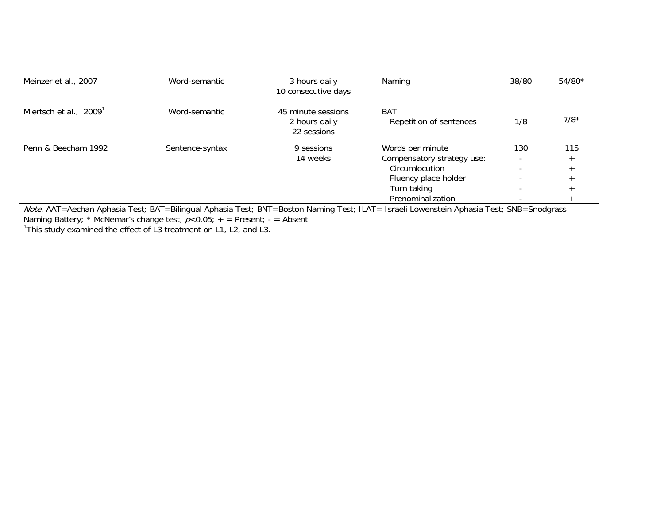| Meinzer et al., 2007               | Word-semantic   | 3 hours daily<br>10 consecutive days               | Naming                                         | 38/80                           | $54/80*$ |
|------------------------------------|-----------------|----------------------------------------------------|------------------------------------------------|---------------------------------|----------|
| Miertsch et al., 2009 <sup>1</sup> | Word-semantic   | 45 minute sessions<br>2 hours daily<br>22 sessions | <b>BAT</b><br>Repetition of sentences          | 1/8                             | $7/8*$   |
| Penn & Beecham 1992                | Sentence-syntax | 9 sessions<br>14 weeks                             | Words per minute<br>Compensatory strategy use: | 130<br>$\overline{\phantom{0}}$ | 115      |
|                                    |                 |                                                    | Circumlocution                                 |                                 |          |
|                                    |                 |                                                    | Fluency place holder                           | $\overline{\phantom{0}}$        |          |
|                                    |                 |                                                    | Turn taking                                    |                                 |          |
|                                    |                 |                                                    | Prenominalization                              |                                 |          |

 Prenominalization - Note. AAT=Aechan Aphasia Test; BAT=Bilingual Aphasia Test; BNT=Boston Naming Test; ILAT= Israeli Lowenstein Aphasia Test; SNB=Snodgrass Naming Battery; \* McNemar's change test,  $p<$ 0.05; + = Present; - = Absent

<sup>1</sup>This study examined the effect of L3 treatment on L1, L2, and L3.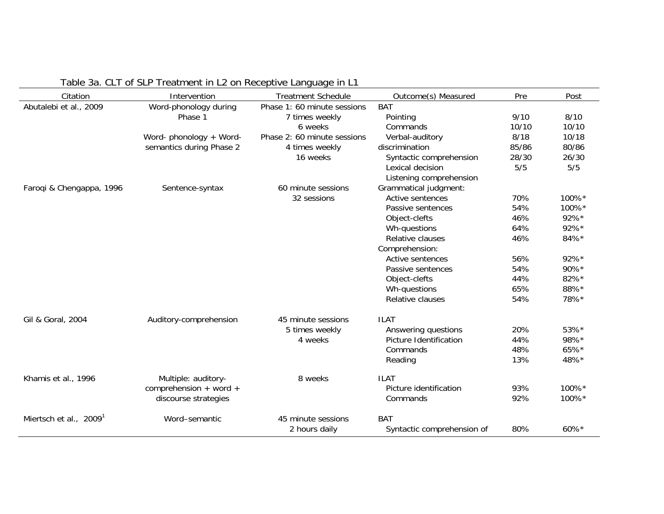| Citation                           | Intervention             | <b>Treatment Schedule</b>   | Outcome(s) Measured        | Pre   | Post  |
|------------------------------------|--------------------------|-----------------------------|----------------------------|-------|-------|
| Abutalebi et al., 2009             | Word-phonology during    | Phase 1: 60 minute sessions | <b>BAT</b>                 |       |       |
|                                    | Phase 1                  | 7 times weekly              | Pointing                   | 9/10  | 8/10  |
|                                    |                          | 6 weeks                     | Commands                   | 10/10 | 10/10 |
|                                    | Word- phonology + Word-  | Phase 2: 60 minute sessions | Verbal-auditory            | 8/18  | 10/18 |
|                                    | semantics during Phase 2 | 4 times weekly              | discrimination             | 85/86 | 80/86 |
|                                    |                          | 16 weeks                    | Syntactic comprehension    | 28/30 | 26/30 |
|                                    |                          |                             | Lexical decision           | 5/5   | 5/5   |
|                                    |                          |                             | Listening comprehension    |       |       |
| Faroqi & Chengappa, 1996           | Sentence-syntax          | 60 minute sessions          | Grammatical judgment:      |       |       |
|                                    |                          | 32 sessions                 | Active sentences           | 70%   | 100%* |
|                                    |                          |                             | Passive sentences          | 54%   | 100%* |
|                                    |                          |                             | Object-clefts              | 46%   | 92%*  |
|                                    |                          |                             | Wh-questions               | 64%   | 92%*  |
|                                    |                          |                             | Relative clauses           | 46%   | 84%*  |
|                                    |                          |                             | Comprehension:             |       |       |
|                                    |                          |                             | Active sentences           | 56%   | 92%*  |
|                                    |                          |                             | Passive sentences          | 54%   | 90%*  |
|                                    |                          |                             | Object-clefts              | 44%   | 82%*  |
|                                    |                          |                             | Wh-questions               | 65%   | 88%*  |
|                                    |                          |                             | Relative clauses           | 54%   | 78%*  |
| Gil & Goral, 2004                  | Auditory-comprehension   | 45 minute sessions          | <b>ILAT</b>                |       |       |
|                                    |                          | 5 times weekly              | Answering questions        | 20%   | 53%*  |
|                                    |                          | 4 weeks                     | Picture Identification     | 44%   | 98%*  |
|                                    |                          |                             | Commands                   | 48%   | 65%*  |
|                                    |                          |                             | Reading                    | 13%   | 48%*  |
| Khamis et al., 1996                | Multiple: auditory-      | 8 weeks                     | <b>ILAT</b>                |       |       |
|                                    | comprehension + word +   |                             | Picture identification     | 93%   | 100%* |
|                                    | discourse strategies     |                             | Commands                   | 92%   | 100%* |
| Miertsch et al., 2009 <sup>1</sup> | Word-semantic            | 45 minute sessions          | <b>BAT</b>                 |       |       |
|                                    |                          | 2 hours daily               | Syntactic comprehension of | 80%   | 60%*  |

Table 3a. CLT of SLP Treatment in L2 on Receptive Language in L1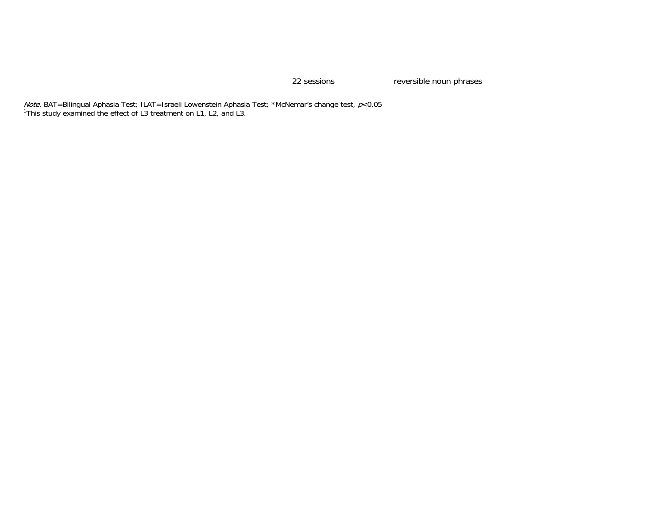22 sessions reversible noun phrases

*Note.* BAT=Bilingual Aphasia Test; ILAT=Israeli Lowenstein Aphasia Test; \*McNemar's change test, *p*<0.05 <sup>1</sup>This study examined the effect of L3 treatment on L1, L2, and L3.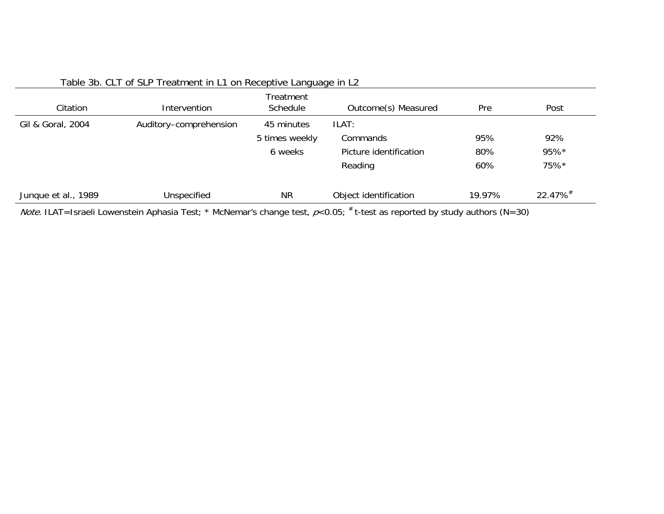| Citation            | Intervention           | Treatment<br>Schedule | Outcome(s) Measured    | Pre    | Post    |
|---------------------|------------------------|-----------------------|------------------------|--------|---------|
| Gil & Goral, 2004   | Auditory-comprehension | 45 minutes            | ILAT:                  |        |         |
|                     |                        | 5 times weekly        | Commands               | 95%    | 92%     |
|                     |                        | 6 weeks               | Picture identification | 80%    | 95%*    |
|                     |                        |                       | Reading                | 60%    | 75%*    |
| Junque et al., 1989 | Unspecified            | <b>NR</b>             | Object identification  | 19.97% | 22.47%# |

Table 3b. CLT of SLP Treatment in L1 on Receptive Language in L2

Note. ILAT=Israeli Lowenstein Aphasia Test; \* McNemar's change test,  $p<0.05$ ; # t-test as reported by study authors (N=30)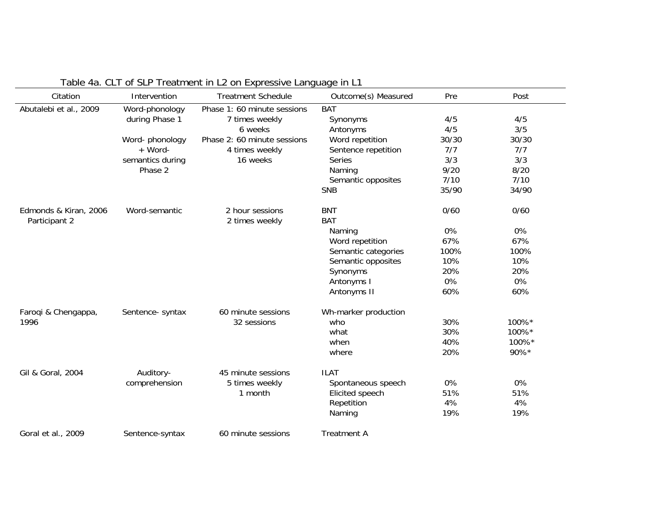| Citation               | Intervention     | <b>Treatment Schedule</b>   | Outcome(s) Measured  | Pre   | Post  |
|------------------------|------------------|-----------------------------|----------------------|-------|-------|
| Abutalebi et al., 2009 | Word-phonology   | Phase 1: 60 minute sessions | <b>BAT</b>           |       |       |
|                        | during Phase 1   | 7 times weekly              | Synonyms             | 4/5   | 4/5   |
|                        |                  | 6 weeks                     | Antonyms             | 4/5   | 3/5   |
|                        | Word-phonology   | Phase 2: 60 minute sessions | Word repetition      | 30/30 | 30/30 |
|                        | + Word-          | 4 times weekly              | Sentence repetition  | 7/7   | 7/7   |
|                        | semantics during | 16 weeks                    | Series               | 3/3   | 3/3   |
|                        | Phase 2          |                             | Naming               | 9/20  | 8/20  |
|                        |                  |                             | Semantic opposites   | 7/10  | 7/10  |
|                        |                  |                             | <b>SNB</b>           | 35/90 | 34/90 |
| Edmonds & Kiran, 2006  | Word-semantic    | 2 hour sessions             | <b>BNT</b>           | 0/60  | 0/60  |
| Participant 2          |                  | 2 times weekly              | <b>BAT</b>           |       |       |
|                        |                  |                             | Naming               | 0%    | 0%    |
|                        |                  |                             | Word repetition      | 67%   | 67%   |
|                        |                  |                             | Semantic categories  | 100%  | 100%  |
|                        |                  |                             | Semantic opposites   | 10%   | 10%   |
|                        |                  |                             | Synonyms             | 20%   | 20%   |
|                        |                  |                             | Antonyms I           | 0%    | 0%    |
|                        |                  |                             | Antonyms II          | 60%   | 60%   |
| Faroqi & Chengappa,    | Sentence- syntax | 60 minute sessions          | Wh-marker production |       |       |
| 1996                   |                  | 32 sessions                 | who                  | 30%   | 100%* |
|                        |                  |                             | what                 | 30%   | 100%* |
|                        |                  |                             | when                 | 40%   | 100%* |
|                        |                  |                             | where                | 20%   | 90%*  |
| Gil & Goral, 2004      | Auditory-        | 45 minute sessions          | <b>ILAT</b>          |       |       |
|                        | comprehension    | 5 times weekly              | Spontaneous speech   | 0%    | 0%    |
|                        |                  | 1 month                     | Elicited speech      | 51%   | 51%   |
|                        |                  |                             | Repetition           | 4%    | 4%    |
|                        |                  |                             | Naming               | 19%   | 19%   |
| Goral et al., 2009     | Sentence-syntax  | 60 minute sessions          | <b>Treatment A</b>   |       |       |

# Table 4a. CLT of SLP Treatment in L2 on Expressive Language in L1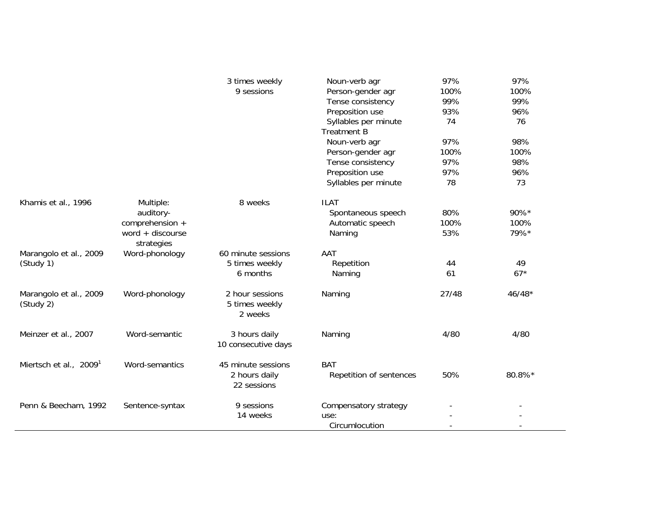|                                     |                                                                               | 3 times weekly<br>9 sessions                       | Noun-verb agr<br>Person-gender agr<br>Tense consistency<br>Preposition use<br>Syllables per minute<br><b>Treatment B</b><br>Noun-verb agr<br>Person-gender agr<br>Tense consistency<br>Preposition use<br>Syllables per minute | 97%<br>100%<br>99%<br>93%<br>74<br>97%<br>100%<br>97%<br>97%<br>78 | 97%<br>100%<br>99%<br>96%<br>76<br>98%<br>100%<br>98%<br>96%<br>73 |
|-------------------------------------|-------------------------------------------------------------------------------|----------------------------------------------------|--------------------------------------------------------------------------------------------------------------------------------------------------------------------------------------------------------------------------------|--------------------------------------------------------------------|--------------------------------------------------------------------|
| Khamis et al., 1996                 | Multiple:<br>auditory-<br>comprehension +<br>word $+$ discourse<br>strategies | 8 weeks                                            | <b>ILAT</b><br>Spontaneous speech<br>Automatic speech<br>Naming                                                                                                                                                                | 80%<br>100%<br>53%                                                 | 90%*<br>100%<br>79%*                                               |
| Marangolo et al., 2009<br>(Study 1) | Word-phonology                                                                | 60 minute sessions<br>5 times weekly<br>6 months   | AAT<br>Repetition<br>Naming                                                                                                                                                                                                    | 44<br>61                                                           | 49<br>$67*$                                                        |
| Marangolo et al., 2009<br>(Study 2) | Word-phonology                                                                | 2 hour sessions<br>5 times weekly<br>2 weeks       | Naming                                                                                                                                                                                                                         | 27/48                                                              | $46/48*$                                                           |
| Meinzer et al., 2007                | Word-semantic                                                                 | 3 hours daily<br>10 consecutive days               | Naming                                                                                                                                                                                                                         | 4/80                                                               | 4/80                                                               |
| Miertsch et al., 2009 <sup>1</sup>  | Word-semantics                                                                | 45 minute sessions<br>2 hours daily<br>22 sessions | <b>BAT</b><br>Repetition of sentences                                                                                                                                                                                          | 50%                                                                | 80.8%*                                                             |
| Penn & Beecham, 1992                | Sentence-syntax                                                               | 9 sessions<br>14 weeks                             | Compensatory strategy<br>use:<br>Circumlocution                                                                                                                                                                                | $\overline{a}$                                                     |                                                                    |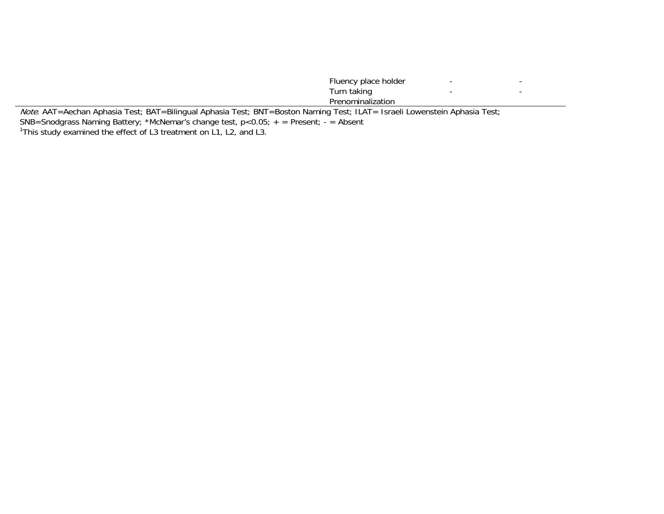|                                                                                                                                   | Fluency place holder |  |
|-----------------------------------------------------------------------------------------------------------------------------------|----------------------|--|
|                                                                                                                                   | Turn taking          |  |
|                                                                                                                                   | Prenominalization    |  |
| <i>Note</i> . AAT=Aechan Aphasia Test; BAT=Bilingual Aphasia Test; BNT=Boston Naming Test; ILAT= Israeli Lowenstein Aphasia Test; |                      |  |

SNB=Snodgrass Naming Battery; \*McNemar's change test, p<0.05; + = Present; - = Absent

<sup>1</sup>This study examined the effect of L3 treatment on L1, L2, and L3.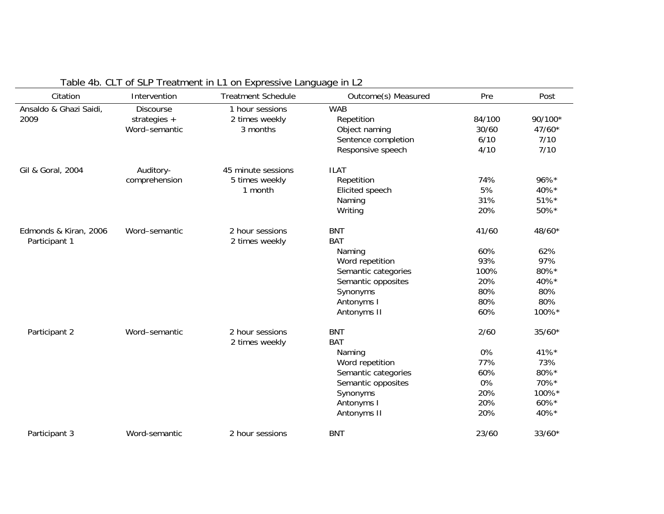| Citation               | Intervention     | <b>Treatment Schedule</b> | Outcome(s) Measured | Pre    | Post     |
|------------------------|------------------|---------------------------|---------------------|--------|----------|
| Ansaldo & Ghazi Saidi, | <b>Discourse</b> | 1 hour sessions           | <b>WAB</b>          |        |          |
| 2009                   | strategies $+$   | 2 times weekly            | Repetition          | 84/100 | 90/100*  |
|                        | Word-semantic    | 3 months                  | Object naming       | 30/60  | $47/60*$ |
|                        |                  |                           | Sentence completion | 6/10   | 7/10     |
|                        |                  |                           | Responsive speech   | 4/10   | 7/10     |
| Gil & Goral, 2004      | Auditory-        | 45 minute sessions        | <b>ILAT</b>         |        |          |
|                        | comprehension    | 5 times weekly            | Repetition          | 74%    | 96%*     |
|                        |                  | 1 month                   | Elicited speech     | 5%     | 40%*     |
|                        |                  |                           | Naming              | 31%    | 51%*     |
|                        |                  |                           | Writing             | 20%    | 50%*     |
| Edmonds & Kiran, 2006  | Word-semantic    | 2 hour sessions           | <b>BNT</b>          | 41/60  | 48/60*   |
| Participant 1          |                  | 2 times weekly            | <b>BAT</b>          |        |          |
|                        |                  |                           | Naming              | 60%    | 62%      |
|                        |                  |                           | Word repetition     | 93%    | 97%      |
|                        |                  |                           | Semantic categories | 100%   | 80%*     |
|                        |                  |                           | Semantic opposites  | 20%    | 40%*     |
|                        |                  |                           | Synonyms            | 80%    | 80%      |
|                        |                  |                           | Antonyms I          | 80%    | 80%      |
|                        |                  |                           | Antonyms II         | 60%    | 100%*    |
| Participant 2          | Word-semantic    | 2 hour sessions           | <b>BNT</b>          | 2/60   | $35/60*$ |
|                        |                  | 2 times weekly            | <b>BAT</b>          |        |          |
|                        |                  |                           | Naming              | 0%     | 41%*     |
|                        |                  |                           | Word repetition     | 77%    | 73%      |
|                        |                  |                           | Semantic categories | 60%    | 80%*     |
|                        |                  |                           | Semantic opposites  | 0%     | 70%*     |
|                        |                  |                           | Synonyms            | 20%    | 100%*    |
|                        |                  |                           | Antonyms I          | 20%    | 60%*     |
|                        |                  |                           | Antonyms II         | 20%    | 40%*     |
| Participant 3          | Word-semantic    | 2 hour sessions           | <b>BNT</b>          | 23/60  | $33/60*$ |

# Table 4b. CLT of SLP Treatment in L1 on Expressive Language in L2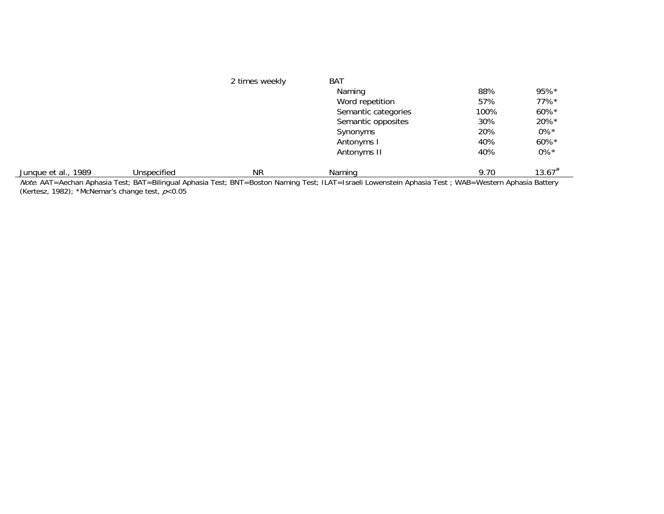|                     |             | 2 times weekly | BAT                                                                                                                                                   |      |                    |
|---------------------|-------------|----------------|-------------------------------------------------------------------------------------------------------------------------------------------------------|------|--------------------|
|                     |             |                | Naming                                                                                                                                                | 88%  | $95%$ *            |
|                     |             |                | Word repetition                                                                                                                                       | 57%  | $77\%$ *           |
|                     |             |                | Semantic categories                                                                                                                                   | 100% | 60%*               |
|                     |             |                | Semantic opposites                                                                                                                                    | 30%  | 20%*               |
|                     |             |                | Synonyms                                                                                                                                              | 20%  | $0\%$ <sup>*</sup> |
|                     |             |                | Antonyms I                                                                                                                                            | 40%  | $60\%$ *           |
|                     |             |                | Antonyms II                                                                                                                                           | 40%  | $0\%*$             |
| Junque et al., 1989 | Unspecified | <b>NR</b>      | Naming                                                                                                                                                | 9.70 | $13.67^{*}$        |
|                     |             |                | Note, AAT=Aechan Aphasia Test: BAT=Bilingual Aphasia Test: BNT=Boston Naming Test: II AT=Israeli Lowenstein Aphasia Test: WAB=Western Aphasia Battery |      |                    |

*Note.* AAT=Aechan Aphasia Test; BAT=Bilingual Aphasia Test; BNT=Boston Naming Test; ILAT=Israeli Lowenstein Aphasia Test ; WAB=Western Aphasia Battery (Kertesz, 1982); \*McNemar's change test,  $p<$  0.05